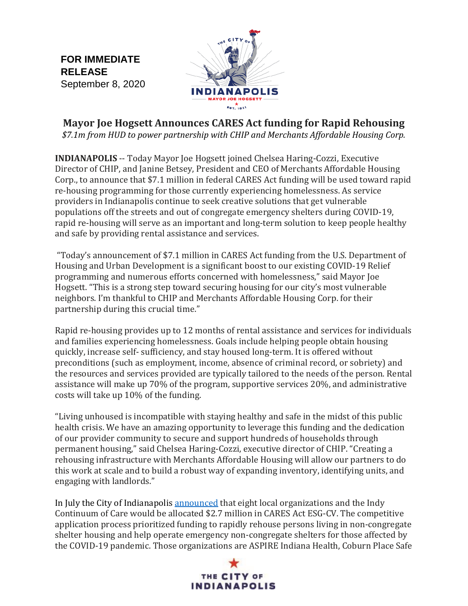**FOR IMMEDIATE RELEASE** September 8, 2020



**Mayor Joe Hogsett Announces CARES Act funding for Rapid Rehousing** *\$7.1m from HUD to power partnership with CHIP and Merchants Affordable Housing Corp.*

**INDIANAPOLIS** -- Today Mayor Joe Hogsett joined Chelsea Haring-Cozzi, Executive Director of CHIP, and Janine Betsey, President and CEO of Merchants Affordable Housing Corp., to announce that \$7.1 million in federal CARES Act funding will be used toward rapid re-housing programming for those currently experiencing homelessness. As service providers in Indianapolis continue to seek creative solutions that get vulnerable populations off the streets and out of congregate emergency shelters during COVID-19, rapid re-housing will serve as an important and long-term solution to keep people healthy and safe by providing rental assistance and services.

"Today's announcement of \$7.1 million in CARES Act funding from the U.S. Department of Housing and Urban Development is a significant boost to our existing COVID-19 Relief programming and numerous efforts concerned with homelessness," said Mayor Joe Hogsett. "This is a strong step toward securing housing for our city's most vulnerable neighbors. I'm thankful to CHIP and Merchants Affordable Housing Corp. for their partnership during this crucial time."

Rapid re-housing provides up to 12 months of rental assistance and services for individuals and families experiencing homelessness. Goals include helping people obtain housing quickly, increase self- sufficiency, and stay housed long-term. It is offered without preconditions (such as employment, income, absence of criminal record, or sobriety) and the resources and services provided are typically tailored to the needs of the person. Rental assistance will make up 70% of the program, supportive services 20%, and administrative costs will take up 10% of the funding.

"Living unhoused is incompatible with staying healthy and safe in the midst of this public health crisis. We have an amazing opportunity to leverage this funding and the dedication of our provider community to secure and support hundreds of households through permanent housing," said Chelsea Haring-Cozzi, executive director of CHIP. "Creating a rehousing infrastructure with Merchants Affordable Housing will allow our partners to do this work at scale and to build a robust way of expanding inventory, identifying units, and engaging with landlords."

In July the City of Indianapoli[s announced](https://drive.google.com/file/d/1DOZ9hnP4VuJ7896VpB_OShGrr4jXE6s-/view?usp=sharing) that eight local organizations and the Indy Continuum of Care would be allocated \$2.7 million in CARES Act ESG-CV. The competitive application process prioritized funding to rapidly rehouse persons living in non-congregate shelter housing and help operate emergency non-congregate shelters for those affected by the COVID-19 pandemic. Those organizations are ASPIRE Indiana Health, Coburn Place Safe